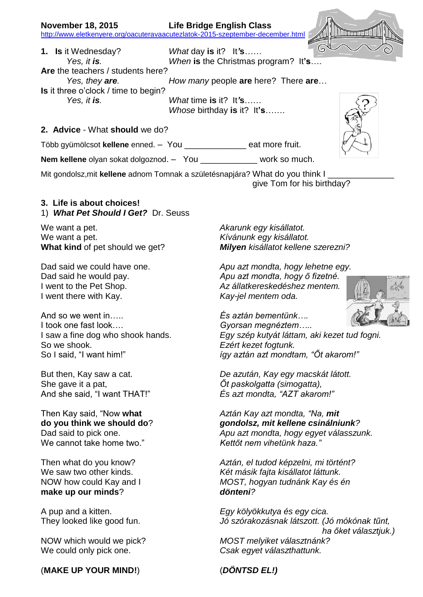## **November 18, 2015 Life Bridge English Class** <http://www.eletkenyere.org/oacuteravaacutezlatok-2015-szeptember-december.html>

6 **1. Is** it Wednesday? *What* day **is** it? It*'***s***…… Yes, it is. When* **is** the Christmas program? It**'s**…. **Are** the teachers / students here? *Yes, they are. How many* people **are** here? There **are**… **Is** it three o'clock / time to begin? *Yes, it is. What* time **is** it? It*'***s**…… *Whose* birthday **is** it? It**'s**…….

## **2. Advice** - What **should** we do?

Több gyümölcsot **kellene** enned. – You \_\_\_\_\_\_\_\_\_\_\_\_\_ eat more fruit.

**Nem kellene** olyan sokat dolgoznod. – You work so much.

Mit gondolsz, mit kellene adnom Tomnak a születésnapjára? What do you think I give Tom for his birthday?

## **3. Life is about choices!** 1) *What Pet Should I Get?* Dr. Seuss

We want a pet. *Akarunk egy kisállatot.* We want a pet. *Kívánunk egy kisállatot.*

I went there with Kay. *Kay-jel mentem oda.*

And so we went in….. *És aztán bementünk….* I took one fast look…. *Gyorsan megnéztem…..* So we shook. *Ezért kezet fogtunk.*

She gave it a pat, *Őt paskolgatta (simogatta),*

We cannot take home two." *Kettőt nem vihetünk haza."*

**make up our minds**? *dönteni?*

We could only pick one. *Csak egyet választhattunk.*

(**MAKE UP YOUR MIND!**) (*DÖNTSD EL!)*

**What kind** of pet should we get? *Milyen kisállatot kellene szerezni?*

Dad said we could have one. *Apu azt mondta, hogy lehetne egy.* Dad said he would pay. *Apu azt mondta, hogy ő fizetné.* I went to the Pet Shop. *Az állatkereskedéshez mentem.*

I saw a fine dog who shook hands. *Egy szép kutyát láttam, aki kezet tud fogni.* So I said, "I want him!" *így aztán azt mondtam, "Őt akarom!"*

But then, Kay saw a cat. *De azután, Kay egy macskát látott.* And she said, "I want THAT!" *És azt mondta, "AZT akarom!"*

Then Kay said, "Now **what** *Aztán Kay azt mondta, "Na, mit* **do you think we should do**? *gondolsz, mit kellene csinálniunk?* Dad said to pick one. *Apu azt mondta, hogy egyet válasszunk.*

Then what do you know? *Aztán, el tudod képzelni, mi történt?* We saw two other kinds. *Két másik fajta kisállatot láttunk.* NOW how could Kay and I *MOST, hogyan tudnánk Kay és én*

A pup and a kitten. *Egy kölyökkutya és egy cica.* They looked like good fun. *Jó szórakozásnak látszott. (Jó mókónak tűnt, ha őket választjuk.)* NOW which would we pick? *MOST melyiket választnánk?*



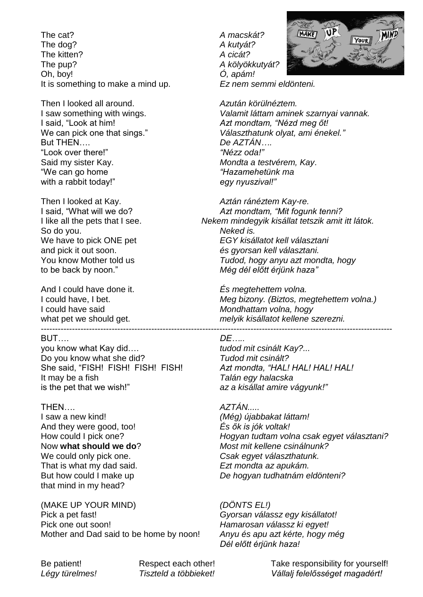The cat? *A macskát?* The dog? **A** kutyát? The kitten? *A cicát?* The pup? *A kölyökkutyát?* Oh, boy! *Ó, apám!* It is something to make a mind up. *Ez nem semmi eldönteni.*

Then I looked all around. *Azután körülnéztem.* But THEN…. *De AZTÁN….* "Look over there!" Said my sister Kay. *Mondta a testvérem, Kay*. "We can go home *"Hazamehetünk ma* with a rabbit today!" *egy nyuszival!"*

So do you. *Neked is.*

And I could have done it. *És megtehettem volna.* ----------------------------------------------------------------------------------------------------------------------------

BUT…. *DE…..*

you know what Kay did…. *tudod mit csinált Kay?...* Do you know what she did? *Tudod mit csinált?* She said, "FISH! FISH! FISH! FISH! *Azt mondta, "HAL! HAL! HAL! HAL!* It may be a fish *Talán egy halacska* is the pet that we wish!" *az a kisállat amire vágyunk!"*

I saw a new kind! *(Még) újabbakat láttam!* And they were good, too! *És ők is jók voltak!* That is what my dad said. *Ezt mondta az apukám.* that mind in my head?

(MAKE UP YOUR MIND) *(DÖNTS EL!)* Pick a pet fast! *Gyorsan válassz egy kisállatot!* Pick one out soon! *Hamarosan válassz ki egyet!* Mother and Dad said to be home by noon! *Anyu és apu azt kérte, hogy még*



I saw something with wings. *Valamit láttam aminek szarnyai vannak.*<br>I said, "Look at him! *I* said, "Nézd meg őt! Azt mondtam, "Nézd meg őt! We can pick one that sings." *Választhatunk olyat, ami énekel."*

Then I looked at Kay. *Aztán ránéztem Kay-re.* I said, "What will we do? *Azt mondtam, "Mit fogunk tenni?* I like all the pets that I see. *Nekem mindegyik kisállat tetszik amit itt látok.* We have to pick ONE pet *EGY kisállatot kell választani* and pick it out soon. *és gyorsan kell választani.* You know Mother told us *Tudod, hogy anyu azt mondta, hogy* to be back by noon." *Még dél előtt érjünk haza"*

I could have, I bet. *Meg bizony. (Biztos, megtehettem volna.)* I could have said *Mondhattam volna, hogy* what pet we should get. *melyik kisállatot kellene szerezni.*

THEN…. *AZTÁN.....* How could I pick one? *Hogyan tudtam volna csak egyet választani?* Now **what should we do**? *Most mit kellene csinálnunk?* We could only pick one. *Csak egyet választhatunk.* But how could I make up *De hogyan tudhatnám eldönteni?*

*Dél előtt érjünk haza!*

Be patient! Respect each other! Take responsibility for yourself! *Légy türelmes! Tiszteld a többieket! Vállalj felelősséget magadért!*